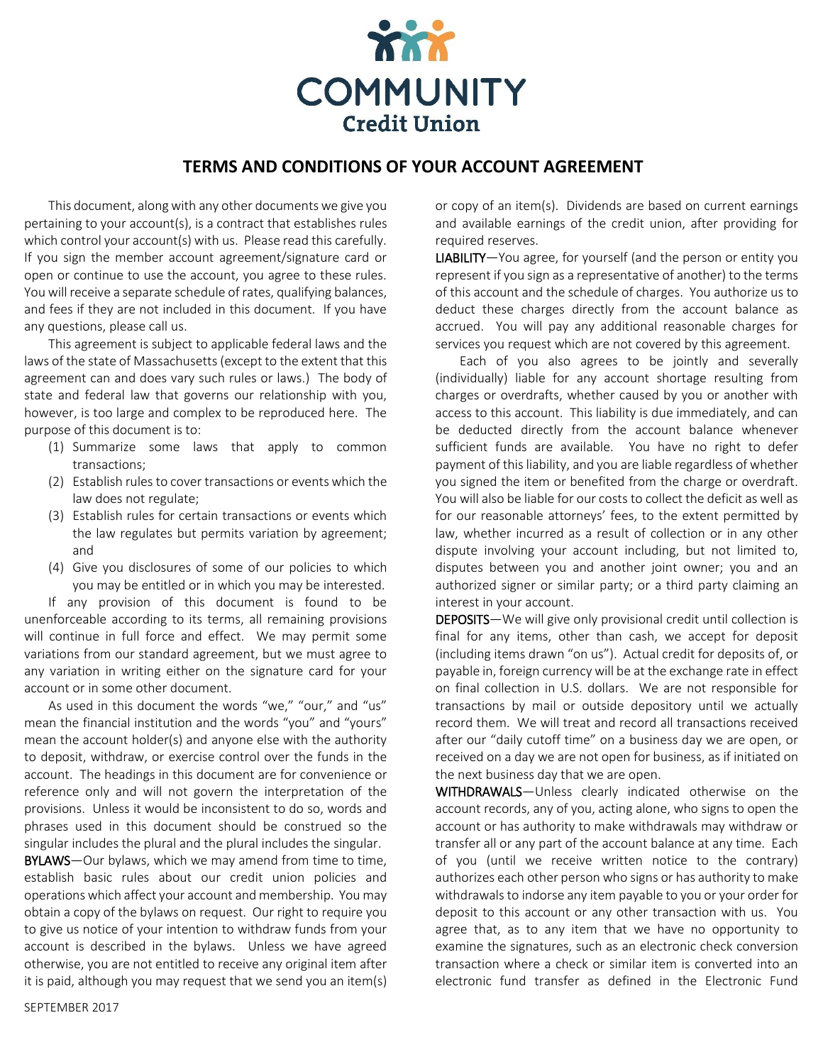

## **TERMS AND CONDITIONS OF YOUR ACCOUNT AGREEMENT**

This document, along with any other documents we give you pertaining to your account(s), is a contract that establishes rules which control your account(s) with us. Please read this carefully. If you sign the member account agreement/signature card or open or continue to use the account, you agree to these rules. You will receive a separate schedule of rates, qualifying balances, and fees if they are not included in this document. If you have any questions, please call us.

This agreement is subject to applicable federal laws and the laws of the state of Massachusetts (except to the extent that this agreement can and does vary such rules or laws.) The body of state and federal law that governs our relationship with you, however, is too large and complex to be reproduced here. The purpose of this document is to:

- (1) Summarize some laws that apply to common transactions;
- (2) Establish rules to cover transactions or events which the law does not regulate;
- (3) Establish rules for certain transactions or events which the law regulates but permits variation by agreement; and
- (4) Give you disclosures of some of our policies to which you may be entitled or in which you may be interested.

If any provision of this document is found to be unenforceable according to its terms, all remaining provisions will continue in full force and effect. We may permit some variations from our standard agreement, but we must agree to any variation in writing either on the signature card for your account or in some other document.

As used in this document the words "we," "our," and "us" mean the financial institution and the words "you" and "yours" mean the account holder(s) and anyone else with the authority to deposit, withdraw, or exercise control over the funds in the account. The headings in this document are for convenience or reference only and will not govern the interpretation of the provisions. Unless it would be inconsistent to do so, words and phrases used in this document should be construed so the singular includes the plural and the plural includes the singular.

BYLAWS-Our bylaws, which we may amend from time to time, establish basic rules about our credit union policies and operations which affect your account and membership. You may obtain a copy of the bylaws on request. Our right to require you to give us notice of your intention to withdraw funds from your account is described in the bylaws. Unless we have agreed otherwise, you are not entitled to receive any original item after it is paid, although you may request that we send you an item(s) or copy of an item(s). Dividends are based on current earnings and available earnings of the credit union, after providing for required reserves.

LIABILITY—You agree, for yourself (and the person or entity you represent if you sign as a representative of another) to the terms of this account and the schedule of charges. You authorize us to deduct these charges directly from the account balance as accrued. You will pay any additional reasonable charges for services you request which are not covered by this agreement.

Each of you also agrees to be jointly and severally (individually) liable for any account shortage resulting from charges or overdrafts, whether caused by you or another with access to this account. This liability is due immediately, and can be deducted directly from the account balance whenever sufficient funds are available. You have no right to defer payment of this liability, and you are liable regardless of whether you signed the item or benefited from the charge or overdraft. You will also be liable for our costs to collect the deficit as well as for our reasonable attorneys' fees, to the extent permitted by law, whether incurred as a result of collection or in any other dispute involving your account including, but not limited to, disputes between you and another joint owner; you and an authorized signer or similar party; or a third party claiming an interest in your account.

DEPOSITS—We will give only provisional credit until collection is final for any items, other than cash, we accept for deposit (including items drawn "on us"). Actual credit for deposits of, or payable in, foreign currency will be at the exchange rate in effect on final collection in U.S. dollars. We are not responsible for transactions by mail or outside depository until we actually record them. We will treat and record all transactions received after our "daily cutoff time" on a business day we are open, or received on a day we are not open for business, as if initiated on the next business day that we are open.

WITHDRAWALS—Unless clearly indicated otherwise on the account records, any of you, acting alone, who signs to open the account or has authority to make withdrawals may withdraw or transfer all or any part of the account balance at any time. Each of you (until we receive written notice to the contrary) authorizes each other person who signs or has authority to make withdrawals to indorse any item payable to you or your order for deposit to this account or any other transaction with us. You agree that, as to any item that we have no opportunity to examine the signatures, such as an electronic check conversion transaction where a check or similar item is converted into an electronic fund transfer as defined in the Electronic Fund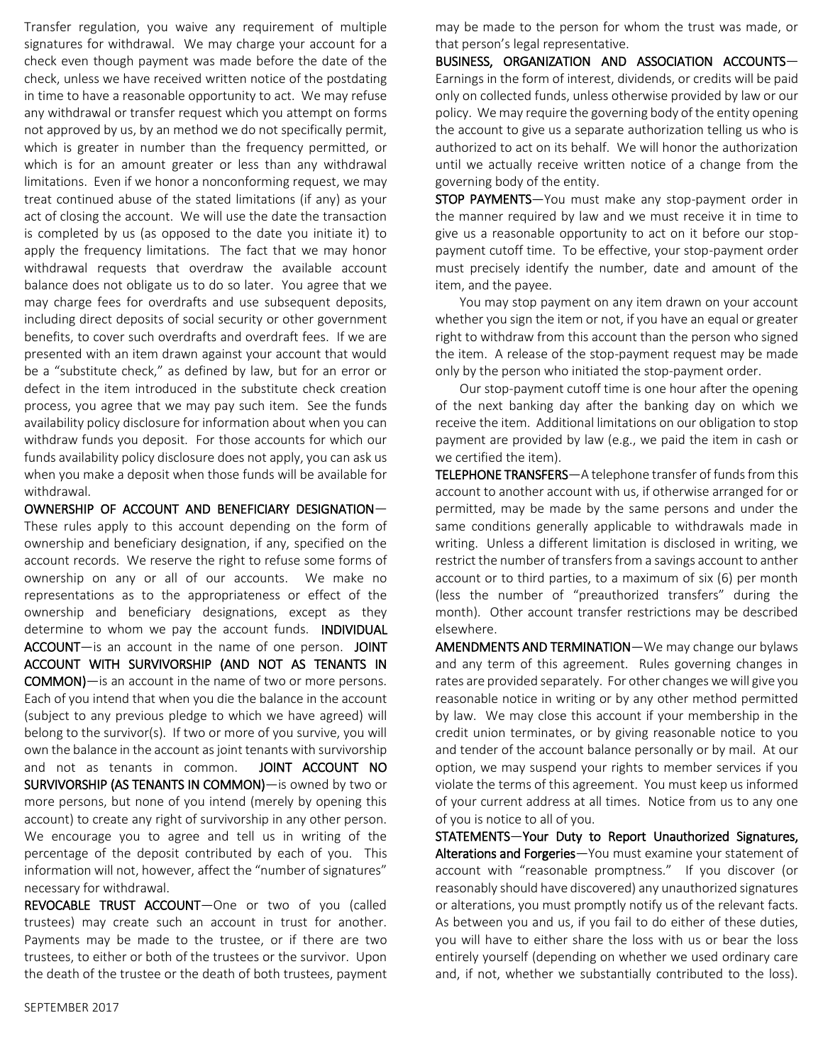Transfer regulation, you waive any requirement of multiple signatures for withdrawal. We may charge your account for a check even though payment was made before the date of the check, unless we have received written notice of the postdating in time to have a reasonable opportunity to act. We may refuse any withdrawal or transfer request which you attempt on forms not approved by us, by an method we do not specifically permit, which is greater in number than the frequency permitted, or which is for an amount greater or less than any withdrawal limitations. Even if we honor a nonconforming request, we may treat continued abuse of the stated limitations (if any) as your act of closing the account. We will use the date the transaction is completed by us (as opposed to the date you initiate it) to apply the frequency limitations. The fact that we may honor withdrawal requests that overdraw the available account balance does not obligate us to do so later. You agree that we may charge fees for overdrafts and use subsequent deposits, including direct deposits of social security or other government benefits, to cover such overdrafts and overdraft fees. If we are presented with an item drawn against your account that would be a "substitute check," as defined by law, but for an error or defect in the item introduced in the substitute check creation process, you agree that we may pay such item. See the funds availability policy disclosure for information about when you can withdraw funds you deposit. For those accounts for which our funds availability policy disclosure does not apply, you can ask us when you make a deposit when those funds will be available for withdrawal.

OWNERSHIP OF ACCOUNT AND BENEFICIARY DESIGNATION— These rules apply to this account depending on the form of ownership and beneficiary designation, if any, specified on the account records. We reserve the right to refuse some forms of ownership on any or all of our accounts. We make no representations as to the appropriateness or effect of the ownership and beneficiary designations, except as they determine to whom we pay the account funds. **INDIVIDUAL** ACCOUNT-is an account in the name of one person. JOINT ACCOUNT WITH SURVIVORSHIP (AND NOT AS TENANTS IN COMMON)—is an account in the name of two or more persons. Each of you intend that when you die the balance in the account (subject to any previous pledge to which we have agreed) will belong to the survivor(s). If two or more of you survive, you will own the balance in the account as joint tenants with survivorship and not as tenants in common. JOINT ACCOUNT NO SURVIVORSHIP (AS TENANTS IN COMMON)—is owned by two or more persons, but none of you intend (merely by opening this account) to create any right of survivorship in any other person. We encourage you to agree and tell us in writing of the percentage of the deposit contributed by each of you. This information will not, however, affect the "number of signatures" necessary for withdrawal.

REVOCABLE TRUST ACCOUNT—One or two of you (called trustees) may create such an account in trust for another. Payments may be made to the trustee, or if there are two trustees, to either or both of the trustees or the survivor. Upon the death of the trustee or the death of both trustees, payment may be made to the person for whom the trust was made, or that person's legal representative.

BUSINESS, ORGANIZATION AND ASSOCIATION ACCOUNTS— Earnings in the form of interest, dividends, or credits will be paid only on collected funds, unless otherwise provided by law or our policy. We may require the governing body of the entity opening the account to give us a separate authorization telling us who is authorized to act on its behalf. We will honor the authorization until we actually receive written notice of a change from the governing body of the entity.

STOP PAYMENTS—You must make any stop-payment order in the manner required by law and we must receive it in time to give us a reasonable opportunity to act on it before our stoppayment cutoff time. To be effective, your stop-payment order must precisely identify the number, date and amount of the item, and the payee.

You may stop payment on any item drawn on your account whether you sign the item or not, if you have an equal or greater right to withdraw from this account than the person who signed the item. A release of the stop-payment request may be made only by the person who initiated the stop-payment order.

Our stop-payment cutoff time is one hour after the opening of the next banking day after the banking day on which we receive the item. Additional limitations on our obligation to stop payment are provided by law (e.g., we paid the item in cash or we certified the item).

TELEPHONE TRANSFERS—A telephone transfer of funds from this account to another account with us, if otherwise arranged for or permitted, may be made by the same persons and under the same conditions generally applicable to withdrawals made in writing. Unless a different limitation is disclosed in writing, we restrict the number of transfers from a savings account to anther account or to third parties, to a maximum of six (6) per month (less the number of "preauthorized transfers" during the month). Other account transfer restrictions may be described elsewhere.

AMENDMENTS AND TERMINATION—We may change our bylaws and any term of this agreement. Rules governing changes in rates are provided separately. For other changes we will give you reasonable notice in writing or by any other method permitted by law. We may close this account if your membership in the credit union terminates, or by giving reasonable notice to you and tender of the account balance personally or by mail. At our option, we may suspend your rights to member services if you violate the terms of this agreement. You must keep us informed of your current address at all times. Notice from us to any one of you is notice to all of you.

STATEMENTS—Your Duty to Report Unauthorized Signatures, Alterations and Forgeries-You must examine your statement of account with "reasonable promptness." If you discover (or reasonably should have discovered) any unauthorized signatures or alterations, you must promptly notify us of the relevant facts. As between you and us, if you fail to do either of these duties, you will have to either share the loss with us or bear the loss entirely yourself (depending on whether we used ordinary care and, if not, whether we substantially contributed to the loss).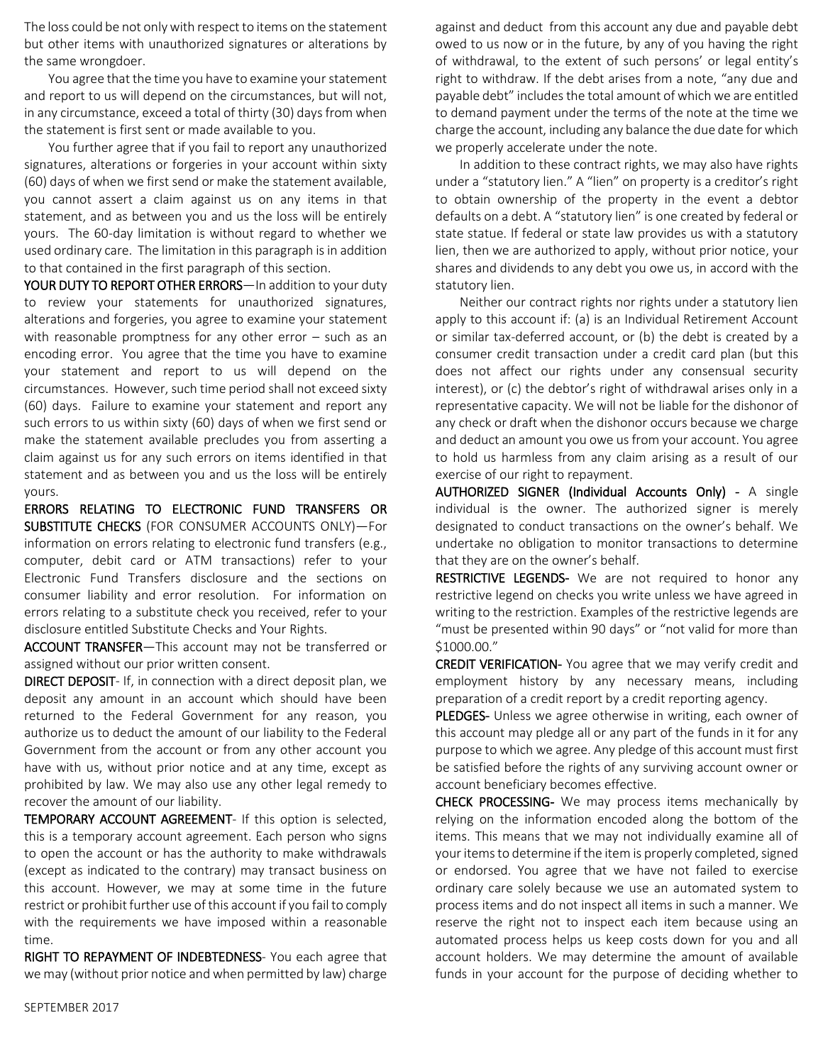The loss could be not only with respect to items on the statement but other items with unauthorized signatures or alterations by the same wrongdoer.

You agree that the time you have to examine your statement and report to us will depend on the circumstances, but will not, in any circumstance, exceed a total of thirty (30) days from when the statement is first sent or made available to you.

You further agree that if you fail to report any unauthorized signatures, alterations or forgeries in your account within sixty (60) days of when we first send or make the statement available, you cannot assert a claim against us on any items in that statement, and as between you and us the loss will be entirely yours. The 60-day limitation is without regard to whether we used ordinary care. The limitation in this paragraph is in addition to that contained in the first paragraph of this section.

YOUR DUTY TO REPORT OTHER ERRORS-In addition to your duty to review your statements for unauthorized signatures, alterations and forgeries, you agree to examine your statement with reasonable promptness for any other error – such as an encoding error. You agree that the time you have to examine your statement and report to us will depend on the circumstances. However, such time period shall not exceed sixty (60) days. Failure to examine your statement and report any such errors to us within sixty (60) days of when we first send or make the statement available precludes you from asserting a claim against us for any such errors on items identified in that statement and as between you and us the loss will be entirely yours.

ERRORS RELATING TO ELECTRONIC FUND TRANSFERS OR SUBSTITUTE CHECKS (FOR CONSUMER ACCOUNTS ONLY)—For information on errors relating to electronic fund transfers (e.g., computer, debit card or ATM transactions) refer to your Electronic Fund Transfers disclosure and the sections on consumer liability and error resolution. For information on errors relating to a substitute check you received, refer to your disclosure entitled Substitute Checks and Your Rights.

ACCOUNT TRANSFER-This account may not be transferred or assigned without our prior written consent.

DIRECT DEPOSIT- If, in connection with a direct deposit plan, we deposit any amount in an account which should have been returned to the Federal Government for any reason, you authorize us to deduct the amount of our liability to the Federal Government from the account or from any other account you have with us, without prior notice and at any time, except as prohibited by law. We may also use any other legal remedy to recover the amount of our liability.

TEMPORARY ACCOUNT AGREEMENT- If this option is selected, this is a temporary account agreement. Each person who signs to open the account or has the authority to make withdrawals (except as indicated to the contrary) may transact business on this account. However, we may at some time in the future restrict or prohibit further use of this account if you fail to comply with the requirements we have imposed within a reasonable time.

RIGHT TO REPAYMENT OF INDEBTEDNESS- You each agree that we may (without prior notice and when permitted by law) charge against and deduct from this account any due and payable debt owed to us now or in the future, by any of you having the right of withdrawal, to the extent of such persons' or legal entity's right to withdraw. If the debt arises from a note, "any due and payable debt" includes the total amount of which we are entitled to demand payment under the terms of the note at the time we charge the account, including any balance the due date for which we properly accelerate under the note.

In addition to these contract rights, we may also have rights under a "statutory lien." A "lien" on property is a creditor's right to obtain ownership of the property in the event a debtor defaults on a debt. A "statutory lien" is one created by federal or state statue. If federal or state law provides us with a statutory lien, then we are authorized to apply, without prior notice, your shares and dividends to any debt you owe us, in accord with the statutory lien.

Neither our contract rights nor rights under a statutory lien apply to this account if: (a) is an Individual Retirement Account or similar tax-deferred account, or (b) the debt is created by a consumer credit transaction under a credit card plan (but this does not affect our rights under any consensual security interest), or (c) the debtor's right of withdrawal arises only in a representative capacity. We will not be liable for the dishonor of any check or draft when the dishonor occurs because we charge and deduct an amount you owe us from your account. You agree to hold us harmless from any claim arising as a result of our exercise of our right to repayment.

AUTHORIZED SIGNER (Individual Accounts Only) - A single individual is the owner. The authorized signer is merely designated to conduct transactions on the owner's behalf. We undertake no obligation to monitor transactions to determine that they are on the owner's behalf.

RESTRICTIVE LEGENDS- We are not required to honor any restrictive legend on checks you write unless we have agreed in writing to the restriction. Examples of the restrictive legends are "must be presented within 90 days" or "not valid for more than \$1000.00."

CREDIT VERIFICATION- You agree that we may verify credit and employment history by any necessary means, including preparation of a credit report by a credit reporting agency.

PLEDGES- Unless we agree otherwise in writing, each owner of this account may pledge all or any part of the funds in it for any purpose to which we agree. Any pledge of this account must first be satisfied before the rights of any surviving account owner or account beneficiary becomes effective.

CHECK PROCESSING- We may process items mechanically by relying on the information encoded along the bottom of the items. This means that we may not individually examine all of your items to determine if the item is properly completed, signed or endorsed. You agree that we have not failed to exercise ordinary care solely because we use an automated system to process items and do not inspect all items in such a manner. We reserve the right not to inspect each item because using an automated process helps us keep costs down for you and all account holders. We may determine the amount of available funds in your account for the purpose of deciding whether to